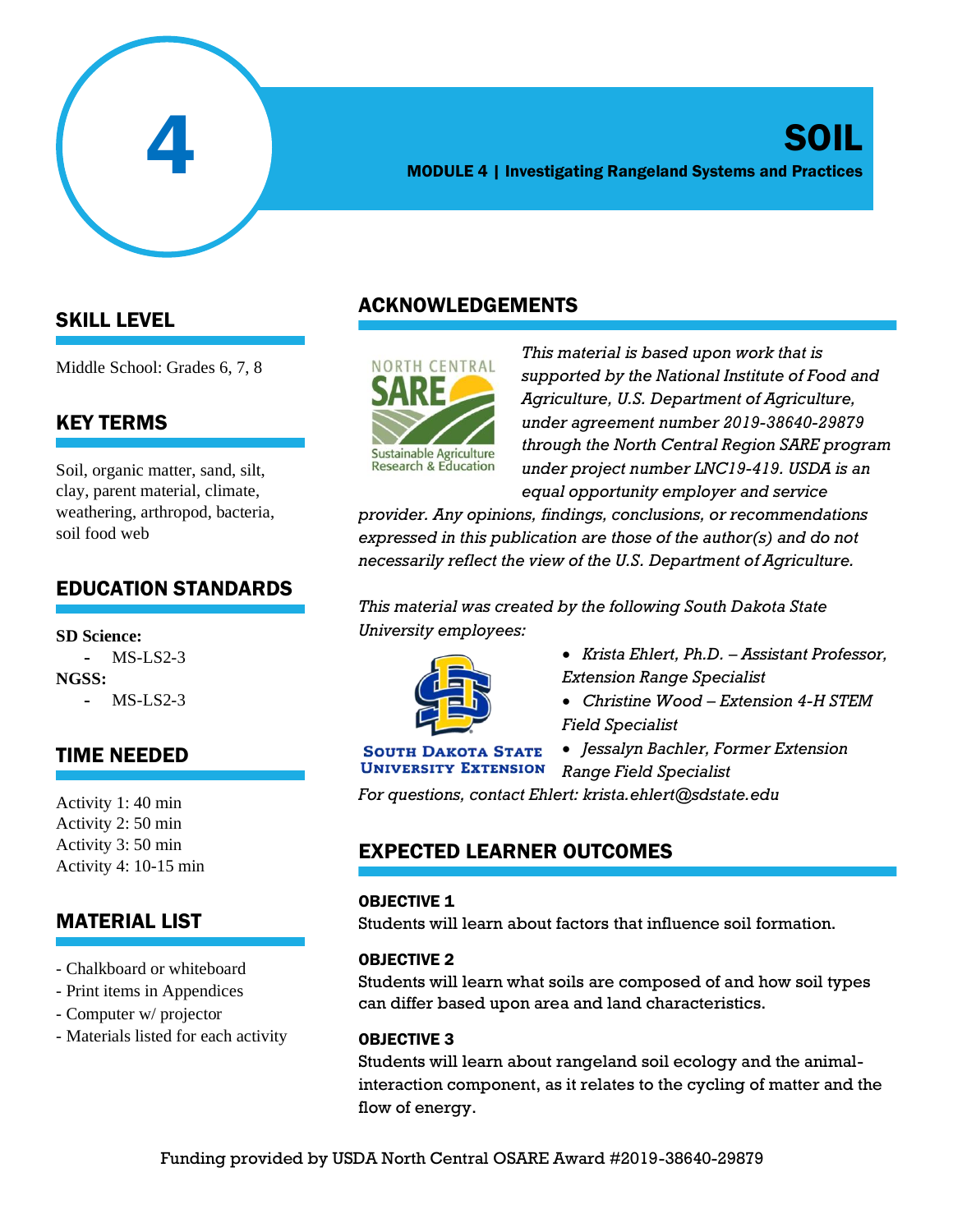

## SOIL MODULE 4 | Investigating Rangeland Systems and Practices

## SKILL LEVEL

Middle School: Grades 6, 7, 8

## KEY TERMS

Soil, organic matter, sand, silt, clay, parent material, climate, weathering, arthropod, bacteria, soil food web

## EDUCATION STANDARDS

**SD Science:**  $MS-I.S2-3$ **NGSS:** - MS-LS2-3

## TIME NEEDED

Activity 1: 40 min Activity 2: 50 min Activity 3: 50 min Activity 4: 10-15 min

## MATERIAL LIST

- Chalkboard or whiteboard
- Print items in Appendices
- Computer w/ projector
- Materials listed for each activity

## ACKNOWLEDGEMENTS



*This material is based upon work that is supported by the National Institute of Food and Agriculture, U.S. Department of Agriculture, under agreement number 2019-38640-29879 through the North Central Region SARE program under project number LNC19-419. USDA is an equal opportunity employer and service* 

*provider. Any opinions, findings, conclusions, or recommendations expressed in this publication are those of the author(s) and do not necessarily reflect the view of the U.S. Department of Agriculture.*

*This material was created by the following South Dakota State University employees:*



- *Krista Ehlert, Ph.D. – Assistant Professor, Extension Range Specialist*
- *Christine Wood – Extension 4-H STEM Field Specialist*

#### **SOUTH DAKOTA STATE UNIVERSITY EXTENSION**

• *Jessalyn Bachler, Former Extension Range Field Specialist*

*For questions, contact Ehlert: krista.ehlert@sdstate.edu*

## EXPECTED LEARNER OUTCOMES

#### OBJECTIVE 1

Students will learn about factors that influence soil formation.

#### OBJECTIVE 2

Students will learn what soils are composed of and how soil types can differ based upon area and land characteristics.

#### OBJECTIVE 3

Students will learn about rangeland soil ecology and the animalinteraction component, as it relates to the cycling of matter and the flow of energy.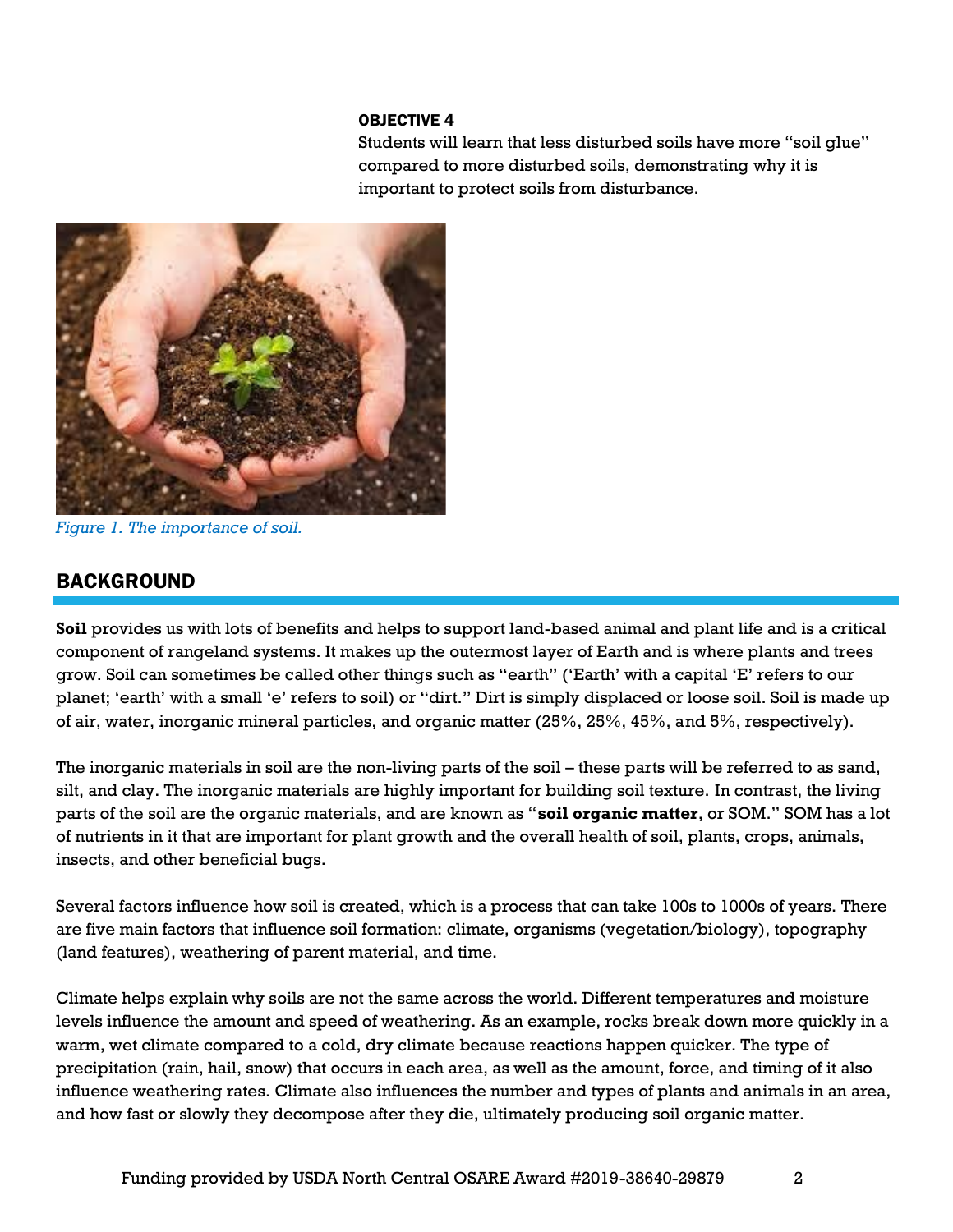#### OBJECTIVE 4

Students will learn that less disturbed soils have more "soil glue" compared to more disturbed soils, demonstrating why it is important to protect soils from disturbance.



*Figure 1. The importance of soil.*

## BACKGROUND

**Soil** provides us with lots of benefits and helps to support land-based animal and plant life and is a critical component of rangeland systems. It makes up the outermost layer of Earth and is where plants and trees grow. Soil can sometimes be called other things such as "earth" ('Earth' with a capital 'E' refers to our planet; 'earth' with a small 'e' refers to soil) or "dirt." Dirt is simply displaced or loose soil. Soil is made up of air, water, inorganic mineral particles, and organic matter (25%, 25%, 45%, and 5%, respectively).

The inorganic materials in soil are the non-living parts of the soil – these parts will be referred to as sand, silt, and clay. The inorganic materials are highly important for building soil texture. In contrast, the living parts of the soil are the organic materials, and are known as "**soil organic matter**, or SOM." SOM has a lot of nutrients in it that are important for plant growth and the overall health of soil, plants, crops, animals, insects, and other beneficial bugs.

Several factors influence how soil is created, which is a process that can take 100s to 1000s of years. There are five main factors that influence soil formation: climate, organisms (vegetation/biology), topography (land features), weathering of parent material, and time.

Climate helps explain why soils are not the same across the world. Different temperatures and moisture levels influence the amount and speed of weathering. As an example, rocks break down more quickly in a warm, wet climate compared to a cold, dry climate because reactions happen quicker. The type of precipitation (rain, hail, snow) that occurs in each area, as well as the amount, force, and timing of it also influence weathering rates. Climate also influences the number and types of plants and animals in an area, and how fast or slowly they decompose after they die, ultimately producing soil organic matter.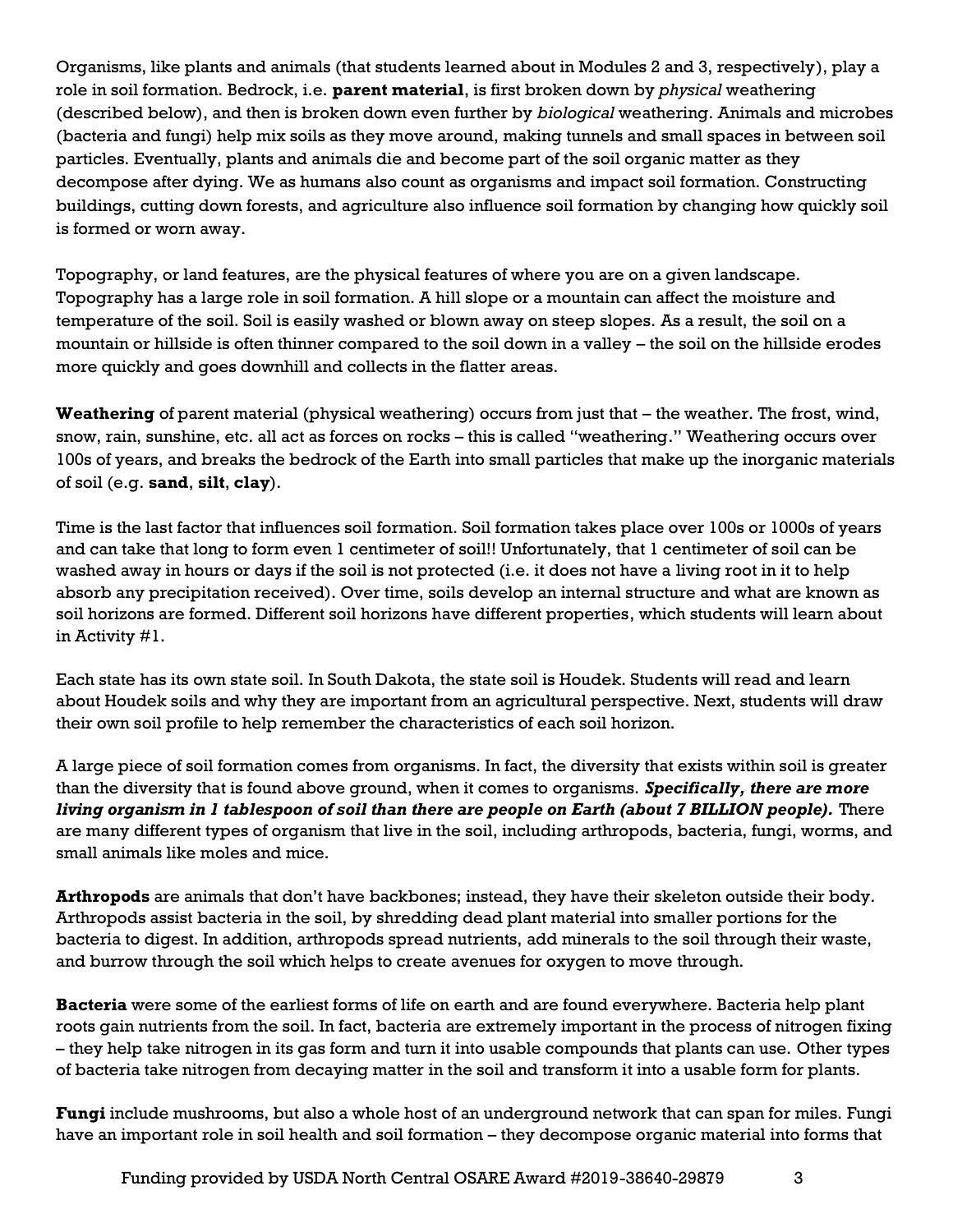Organisms, like plants and animals (that students learned about in Modules 2 and 3, respectively), play a role in soil formation. Bedrock, i.e. **parent material**, is first broken down by *physical* weathering (described below), and then is broken down even further by *biological* weathering. Animals and microbes (bacteria and fungi) help mix soils as they move around, making tunnels and small spaces in between soil particles. Eventually, plants and animals die and become part of the soil organic matter as they decompose after dying. We as humans also count as organisms and impact soil formation. Constructing buildings, cutting down forests, and agriculture also influence soil formation by changing how quickly soil is formed or worn away.

Topography, or land features, are the physical features of where you are on a given landscape. Topography has a large role in soil formation. A hill slope or a mountain can affect the moisture and temperature of the soil. Soil is easily washed or blown away on steep slopes. As a result, the soil on a mountain or hillside is often thinner compared to the soil down in a valley – the soil on the hillside erodes more quickly and goes downhill and collects in the flatter areas.

**Weathering** of parent material (physical weathering) occurs from just that – the weather. The frost, wind, snow, rain, sunshine, etc. all act as forces on rocks – this is called "weathering." Weathering occurs over 100s of years, and breaks the bedrock of the Earth into small particles that make up the inorganic materials of soil (e.g. **sand**, **silt**, **clay**).

Time is the last factor that influences soil formation. Soil formation takes place over 100s or 1000s of years and can take that long to form even 1 centimeter of soil!! Unfortunately, that 1 centimeter of soil can be washed away in hours or days if the soil is not protected (i.e. it does not have a living root in it to help absorb any precipitation received). Over time, soils develop an internal structure and what are known as soil horizons are formed. Different soil horizons have different properties, which students will learn about in Activity #1.

Each state has its own state soil. In South Dakota, the state soil is Houdek. Students will read and learn about Houdek soils and why they are important from an agricultural perspective. Next, students will draw their own soil profile to help remember the characteristics of each soil horizon.

A large piece of soil formation comes from organisms. In fact, the diversity that exists within soil is greater than the diversity that is found above ground, when it comes to organisms. *Specifically, there are more living organism in 1 tablespoon of soil than there are people on Earth (about 7 BILLION people).* There are many different types of organism that live in the soil, including arthropods, bacteria, fungi, worms, and small animals like moles and mice.

**Arthropods** are animals that don't have backbones; instead, they have their skeleton outside their body. Arthropods assist bacteria in the soil, by shredding dead plant material into smaller portions for the bacteria to digest. In addition, arthropods spread nutrients, add minerals to the soil through their waste, and burrow through the soil which helps to create avenues for oxygen to move through.

**Bacteria** were some of the earliest forms of life on earth and are found everywhere. Bacteria help plant roots gain nutrients from the soil. In fact, bacteria are extremely important in the process of nitrogen fixing – they help take nitrogen in its gas form and turn it into usable compounds that plants can use. Other types of bacteria take nitrogen from decaying matter in the soil and transform it into a usable form for plants.

**Fungi** include mushrooms, but also a whole host of an underground network that can span for miles. Fungi have an important role in soil health and soil formation – they decompose organic material into forms that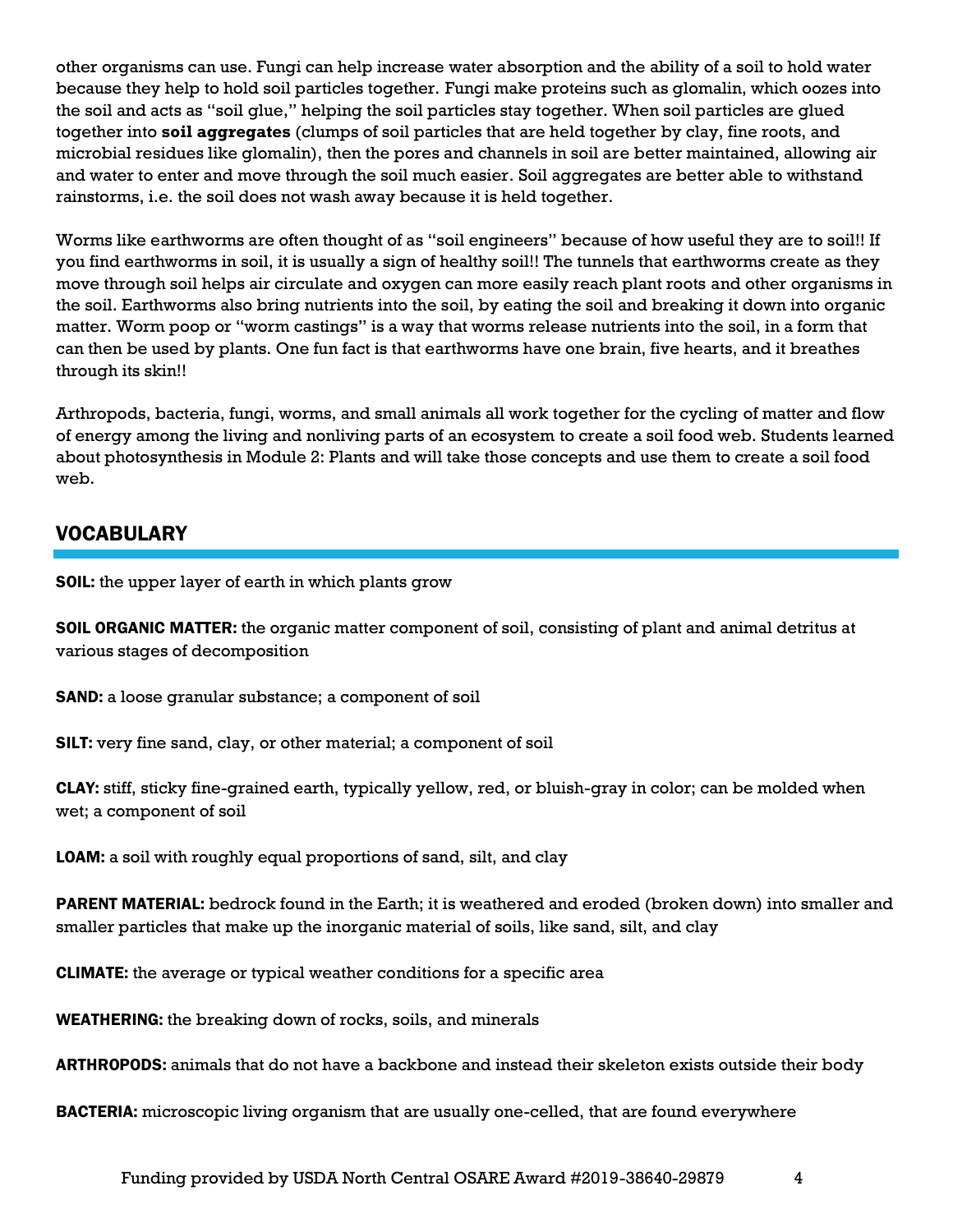other organisms can use. Fungi can help increase water absorption and the ability of a soil to hold water because they help to hold soil particles together. Fungi make proteins such as glomalin, which oozes into the soil and acts as "soil glue," helping the soil particles stay together. When soil particles are glued together into **soil aggregates** (clumps of soil particles that are held together by clay, fine roots, and microbial residues like glomalin), then the pores and channels in soil are better maintained, allowing air and water to enter and move through the soil much easier. Soil aggregates are better able to withstand rainstorms, i.e. the soil does not wash away because it is held together.

Worms like earthworms are often thought of as "soil engineers" because of how useful they are to soil!! If you find earthworms in soil, it is usually a sign of healthy soil!! The tunnels that earthworms create as they move through soil helps air circulate and oxygen can more easily reach plant roots and other organisms in the soil. Earthworms also bring nutrients into the soil, by eating the soil and breaking it down into organic matter. Worm poop or "worm castings" is a way that worms release nutrients into the soil, in a form that can then be used by plants. One fun fact is that earthworms have one brain, five hearts, and it breathes through its skin!!

Arthropods, bacteria, fungi, worms, and small animals all work together for the cycling of matter and flow of energy among the living and nonliving parts of an ecosystem to create a soil food web. Students learned about photosynthesis in Module 2: Plants and will take those concepts and use them to create a soil food web.

## VOCABULARY

SOIL: the upper layer of earth in which plants grow

SOIL ORGANIC MATTER: the organic matter component of soil, consisting of plant and animal detritus at various stages of decomposition

SAND: a loose granular substance; a component of soil

SILT: very fine sand, clay, or other material; a component of soil

CLAY: stiff, sticky fine-grained earth, typically yellow, red, or bluish-gray in color; can be molded when wet; a component of soil

LOAM: a soil with roughly equal proportions of sand, silt, and clay

PARENT MATERIAL: bedrock found in the Earth; it is weathered and eroded (broken down) into smaller and smaller particles that make up the inorganic material of soils, like sand, silt, and clay

CLIMATE: the average or typical weather conditions for a specific area

WEATHERING: the breaking down of rocks, soils, and minerals

ARTHROPODS: animals that do not have a backbone and instead their skeleton exists outside their body

BACTERIA: microscopic living organism that are usually one-celled, that are found everywhere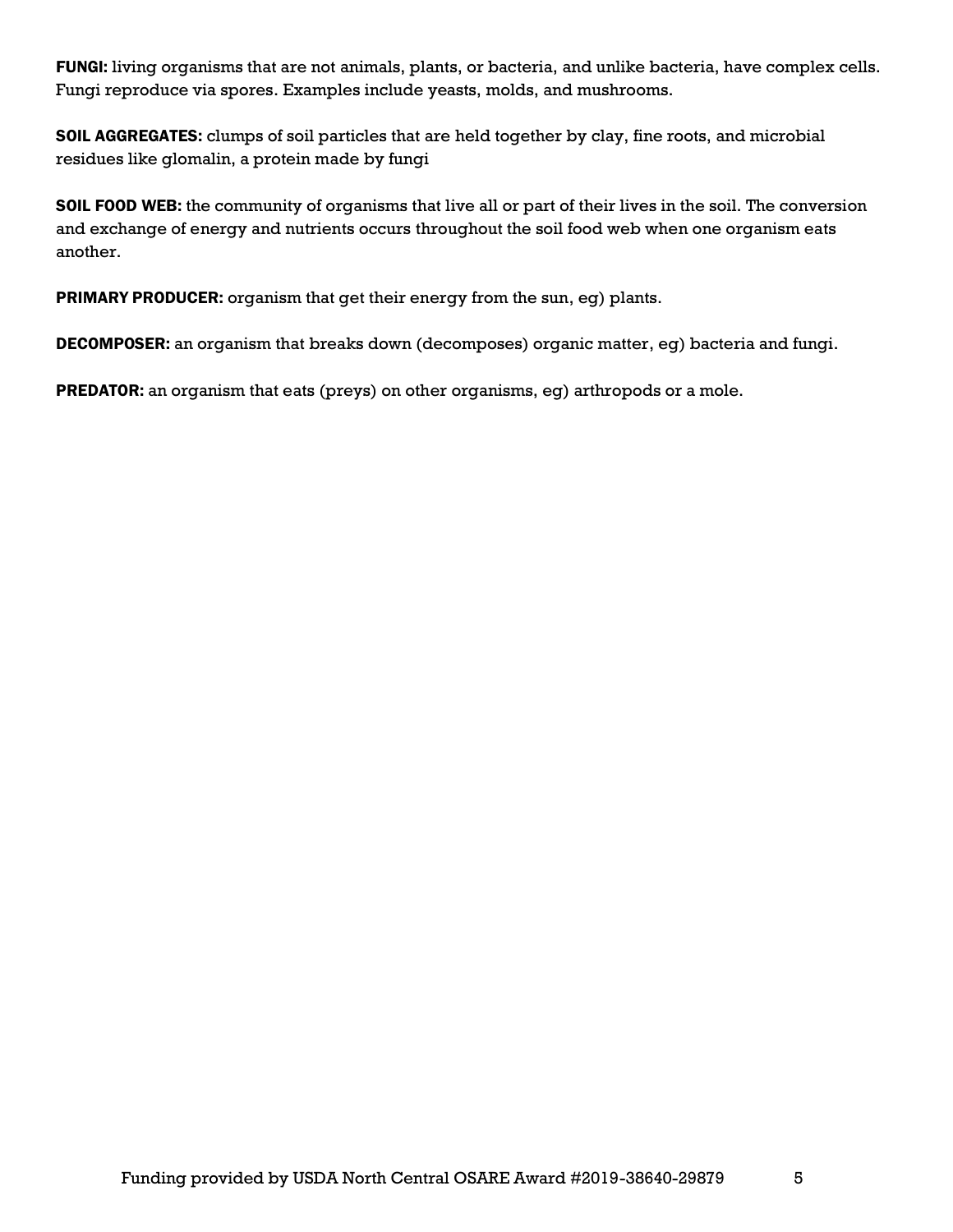FUNGI: living organisms that are not animals, plants, or bacteria, and unlike bacteria, have complex cells. Fungi reproduce via spores. Examples include yeasts, molds, and mushrooms.

SOIL AGGREGATES: clumps of soil particles that are held together by clay, fine roots, and microbial residues like glomalin, a protein made by fungi

SOIL FOOD WEB: the community of organisms that live all or part of their lives in the soil. The conversion and exchange of energy and nutrients occurs throughout the soil food web when one organism eats another.

PRIMARY PRODUCER: organism that get their energy from the sun, eg) plants.

DECOMPOSER: an organism that breaks down (decomposes) organic matter, eg) bacteria and fungi.

PREDATOR: an organism that eats (preys) on other organisms, eg) arthropods or a mole.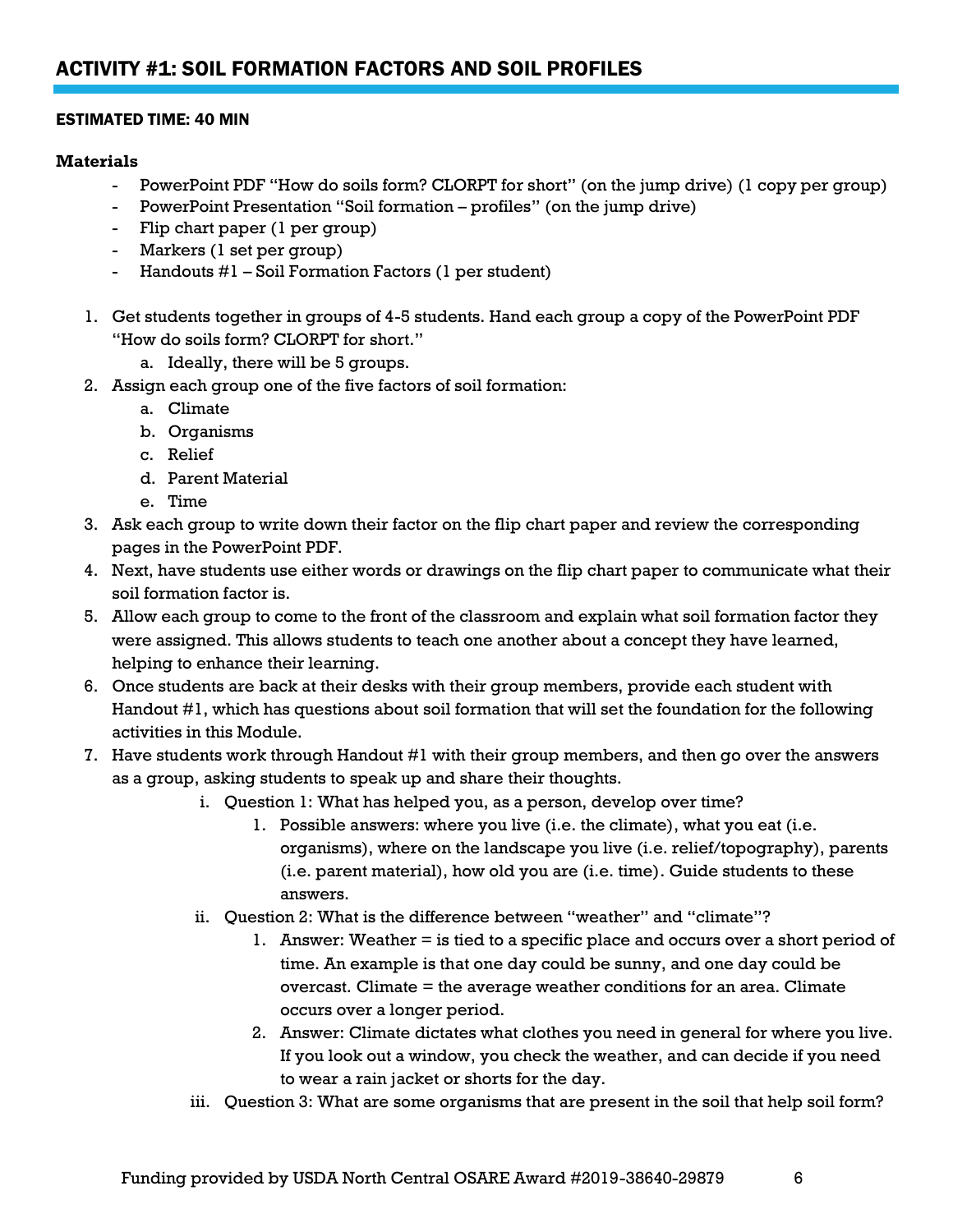#### ESTIMATED TIME: 40 MIN

#### **Materials**

- PowerPoint PDF "How do soils form? CLORPT for short" (on the jump drive) (1 copy per group)
- PowerPoint Presentation "Soil formation profiles" (on the jump drive)
- Flip chart paper (1 per group)
- Markers (1 set per group)
- Handouts #1 Soil Formation Factors (1 per student)
- 1. Get students together in groups of 4-5 students. Hand each group a copy of the PowerPoint PDF "How do soils form? CLORPT for short."
	- a. Ideally, there will be 5 groups.
- 2. Assign each group one of the five factors of soil formation:
	- a. Climate
	- b. Organisms
	- c. Relief
	- d. Parent Material
	- e. Time
- 3. Ask each group to write down their factor on the flip chart paper and review the corresponding pages in the PowerPoint PDF.
- 4. Next, have students use either words or drawings on the flip chart paper to communicate what their soil formation factor is.
- 5. Allow each group to come to the front of the classroom and explain what soil formation factor they were assigned. This allows students to teach one another about a concept they have learned, helping to enhance their learning.
- 6. Once students are back at their desks with their group members, provide each student with Handout #1, which has questions about soil formation that will set the foundation for the following activities in this Module.
- 7. Have students work through Handout #1 with their group members, and then go over the answers as a group, asking students to speak up and share their thoughts.
	- i. Question 1: What has helped you, as a person, develop over time?
		- 1. Possible answers: where you live (i.e. the climate), what you eat (i.e. organisms), where on the landscape you live (i.e. relief/topography), parents (i.e. parent material), how old you are (i.e. time). Guide students to these answers.
	- ii. Question 2: What is the difference between "weather" and "climate"?
		- 1. Answer: Weather = is tied to a specific place and occurs over a short period of time. An example is that one day could be sunny, and one day could be overcast. Climate = the average weather conditions for an area. Climate occurs over a longer period.
		- 2. Answer: Climate dictates what clothes you need in general for where you live. If you look out a window, you check the weather, and can decide if you need to wear a rain jacket or shorts for the day.
	- iii. Question 3: What are some organisms that are present in the soil that help soil form?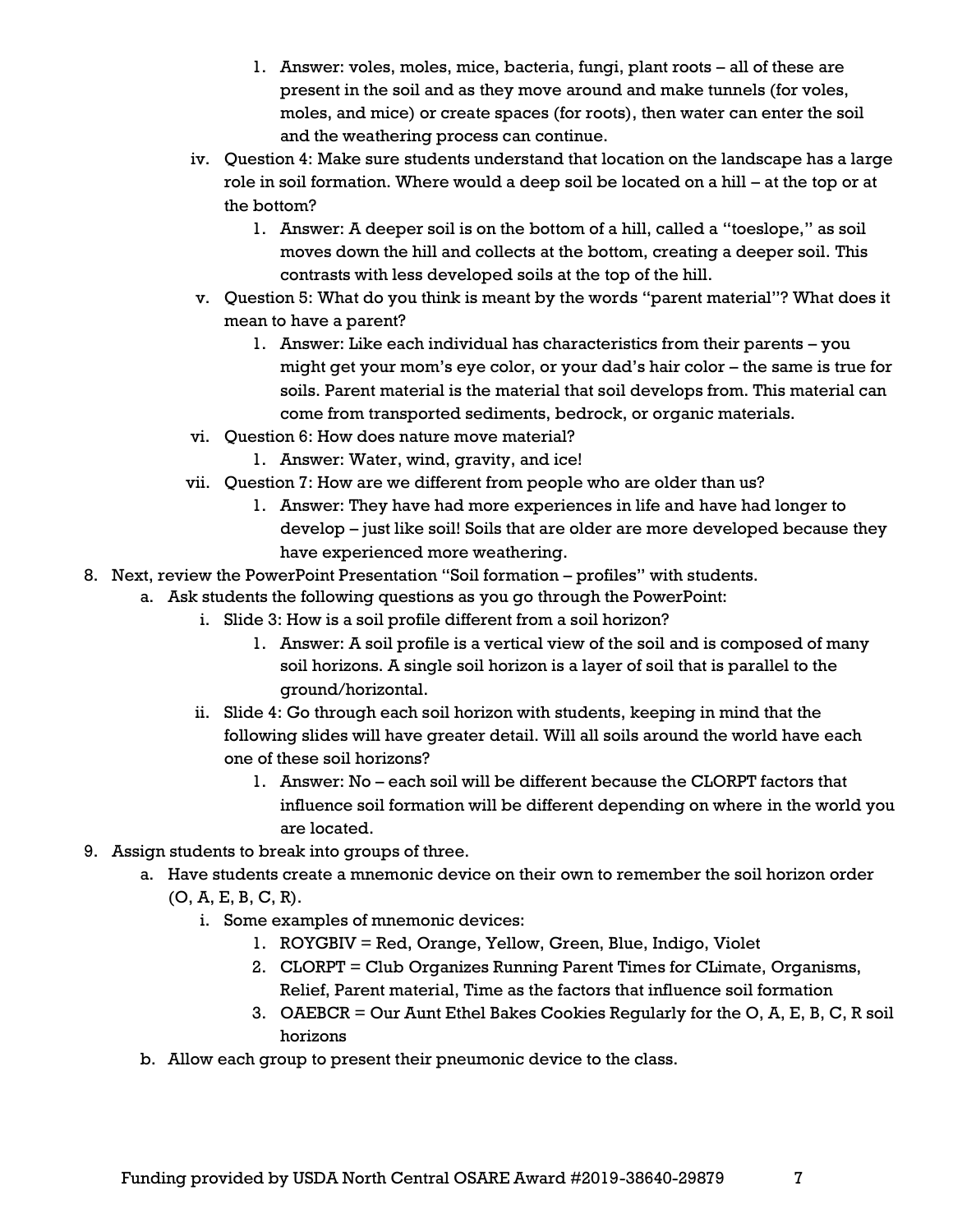- 1. Answer: voles, moles, mice, bacteria, fungi, plant roots all of these are present in the soil and as they move around and make tunnels (for voles, moles, and mice) or create spaces (for roots), then water can enter the soil and the weathering process can continue.
- iv. Question 4: Make sure students understand that location on the landscape has a large role in soil formation. Where would a deep soil be located on a hill – at the top or at the bottom?
	- 1. Answer: A deeper soil is on the bottom of a hill, called a "toeslope," as soil moves down the hill and collects at the bottom, creating a deeper soil. This contrasts with less developed soils at the top of the hill.
- v. Question 5: What do you think is meant by the words "parent material"? What does it mean to have a parent?
	- 1. Answer: Like each individual has characteristics from their parents you might get your mom's eye color, or your dad's hair color – the same is true for soils. Parent material is the material that soil develops from. This material can come from transported sediments, bedrock, or organic materials.
- vi. Question 6: How does nature move material?
	- 1. Answer: Water, wind, gravity, and ice!
- vii. Question 7: How are we different from people who are older than us?
	- 1. Answer: They have had more experiences in life and have had longer to develop – just like soil! Soils that are older are more developed because they have experienced more weathering.
- 8. Next, review the PowerPoint Presentation "Soil formation profiles" with students.
	- a. Ask students the following questions as you go through the PowerPoint:
		- i. Slide 3: How is a soil profile different from a soil horizon?
			- 1. Answer: A soil profile is a vertical view of the soil and is composed of many soil horizons. A single soil horizon is a layer of soil that is parallel to the ground/horizontal.
		- ii. Slide 4: Go through each soil horizon with students, keeping in mind that the following slides will have greater detail. Will all soils around the world have each one of these soil horizons?
			- 1. Answer: No each soil will be different because the CLORPT factors that influence soil formation will be different depending on where in the world you are located.
- 9. Assign students to break into groups of three.
	- a. Have students create a mnemonic device on their own to remember the soil horizon order
		- (O, A, E, B, C, R).
			- i. Some examples of mnemonic devices:
				- 1. ROYGBIV = Red, Orange, Yellow, Green, Blue, Indigo, Violet
				- 2. CLORPT = Club Organizes Running Parent Times for CLimate, Organisms, Relief, Parent material, Time as the factors that influence soil formation
				- 3. OAEBCR = Our Aunt Ethel Bakes Cookies Regularly for the O, A, E, B, C, R soil horizons
	- b. Allow each group to present their pneumonic device to the class.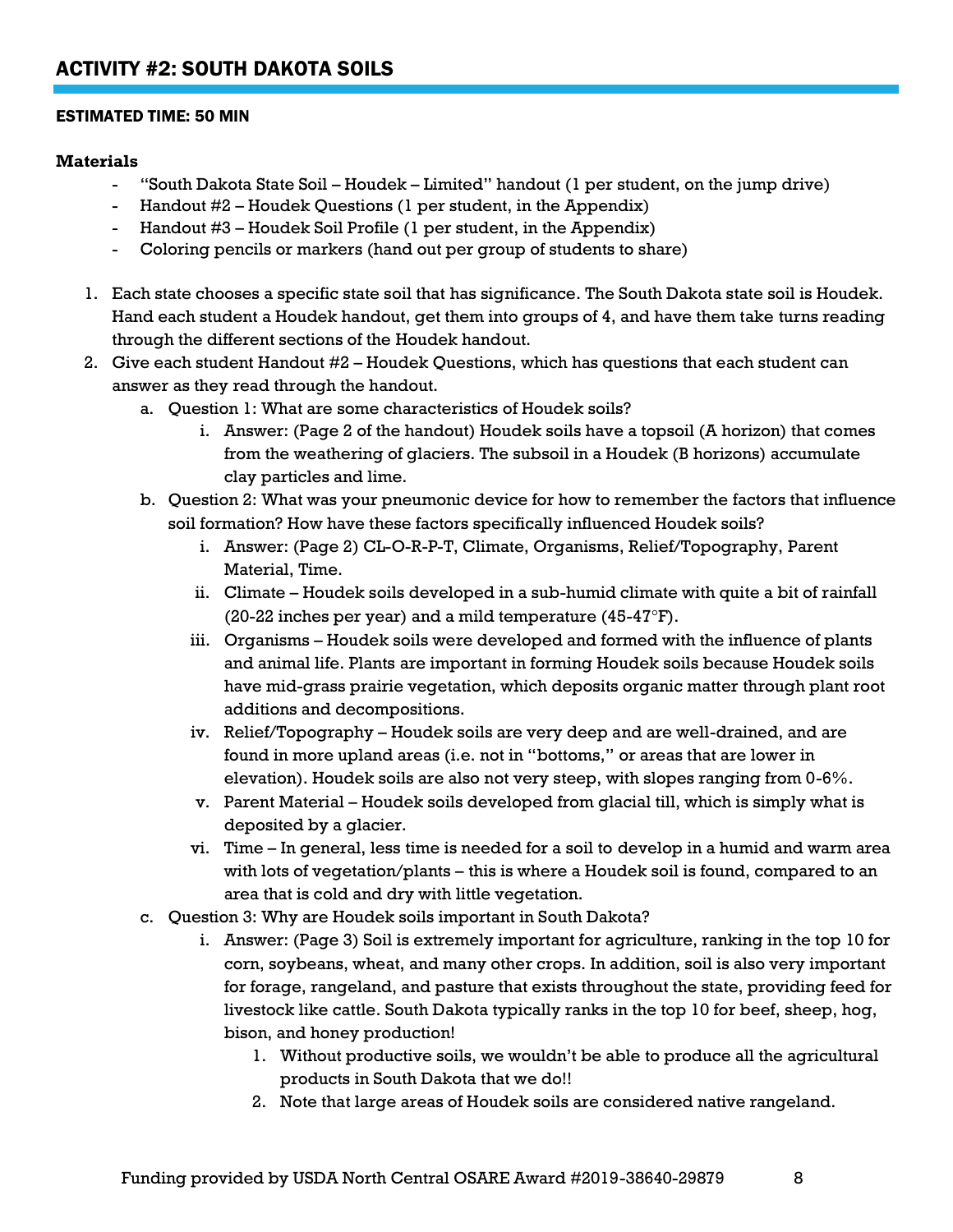#### ESTIMATED TIME: 50 MIN

#### **Materials**

- "South Dakota State Soil Houdek Limited" handout (1 per student, on the jump drive)
- Handout #2 Houdek Questions (1 per student, in the Appendix)
- Handout #3 Houdek Soil Profile (1 per student, in the Appendix)
- Coloring pencils or markers (hand out per group of students to share)
- 1. Each state chooses a specific state soil that has significance. The South Dakota state soil is Houdek. Hand each student a Houdek handout, get them into groups of 4, and have them take turns reading through the different sections of the Houdek handout.
- 2. Give each student Handout #2 Houdek Questions, which has questions that each student can answer as they read through the handout.
	- a. Question 1: What are some characteristics of Houdek soils?
		- i. Answer: (Page 2 of the handout) Houdek soils have a topsoil (A horizon) that comes from the weathering of glaciers. The subsoil in a Houdek (B horizons) accumulate clay particles and lime.
	- b. Question 2: What was your pneumonic device for how to remember the factors that influence soil formation? How have these factors specifically influenced Houdek soils?
		- i. Answer: (Page 2) CL-O-R-P-T, Climate, Organisms, Relief/Topography, Parent Material, Time.
		- ii. Climate Houdek soils developed in a sub-humid climate with quite a bit of rainfall (20-22 inches per year) and a mild temperature  $(45-47^{\circ}F)$ .
		- iii. Organisms Houdek soils were developed and formed with the influence of plants and animal life. Plants are important in forming Houdek soils because Houdek soils have mid-grass prairie vegetation, which deposits organic matter through plant root additions and decompositions.
		- iv. Relief/Topography Houdek soils are very deep and are well-drained, and are found in more upland areas (i.e. not in "bottoms," or areas that are lower in elevation). Houdek soils are also not very steep, with slopes ranging from 0-6%.
		- v. Parent Material Houdek soils developed from glacial till, which is simply what is deposited by a glacier.
		- vi. Time In general, less time is needed for a soil to develop in a humid and warm area with lots of vegetation/plants – this is where a Houdek soil is found, compared to an area that is cold and dry with little vegetation.
	- c. Question 3: Why are Houdek soils important in South Dakota?
		- i. Answer: (Page 3) Soil is extremely important for agriculture, ranking in the top 10 for corn, soybeans, wheat, and many other crops. In addition, soil is also very important for forage, rangeland, and pasture that exists throughout the state, providing feed for livestock like cattle. South Dakota typically ranks in the top 10 for beef, sheep, hog, bison, and honey production!
			- 1. Without productive soils, we wouldn't be able to produce all the agricultural products in South Dakota that we do!!
			- 2. Note that large areas of Houdek soils are considered native rangeland.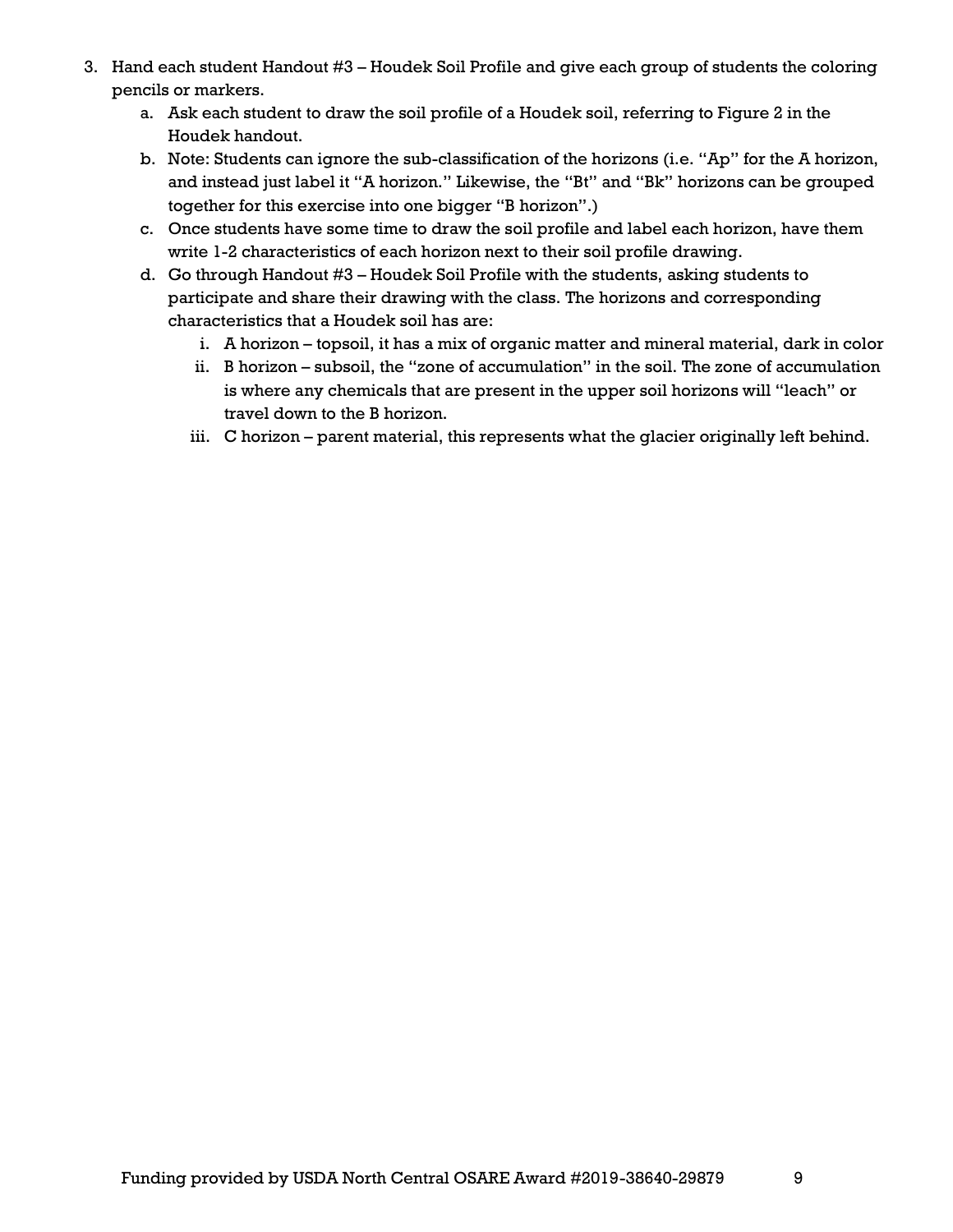- 3. Hand each student Handout #3 Houdek Soil Profile and give each group of students the coloring pencils or markers.
	- a. Ask each student to draw the soil profile of a Houdek soil, referring to Figure 2 in the Houdek handout.
	- b. Note: Students can ignore the sub-classification of the horizons (i.e. "Ap" for the A horizon, and instead just label it "A horizon." Likewise, the "Bt" and "Bk" horizons can be grouped together for this exercise into one bigger "B horizon".)
	- c. Once students have some time to draw the soil profile and label each horizon, have them write 1-2 characteristics of each horizon next to their soil profile drawing.
	- d. Go through Handout #3 Houdek Soil Profile with the students, asking students to participate and share their drawing with the class. The horizons and corresponding characteristics that a Houdek soil has are:
		- i. A horizon topsoil, it has a mix of organic matter and mineral material, dark in color
		- ii. B horizon subsoil, the "zone of accumulation" in the soil. The zone of accumulation is where any chemicals that are present in the upper soil horizons will "leach" or travel down to the B horizon.
		- iii. C horizon parent material, this represents what the glacier originally left behind.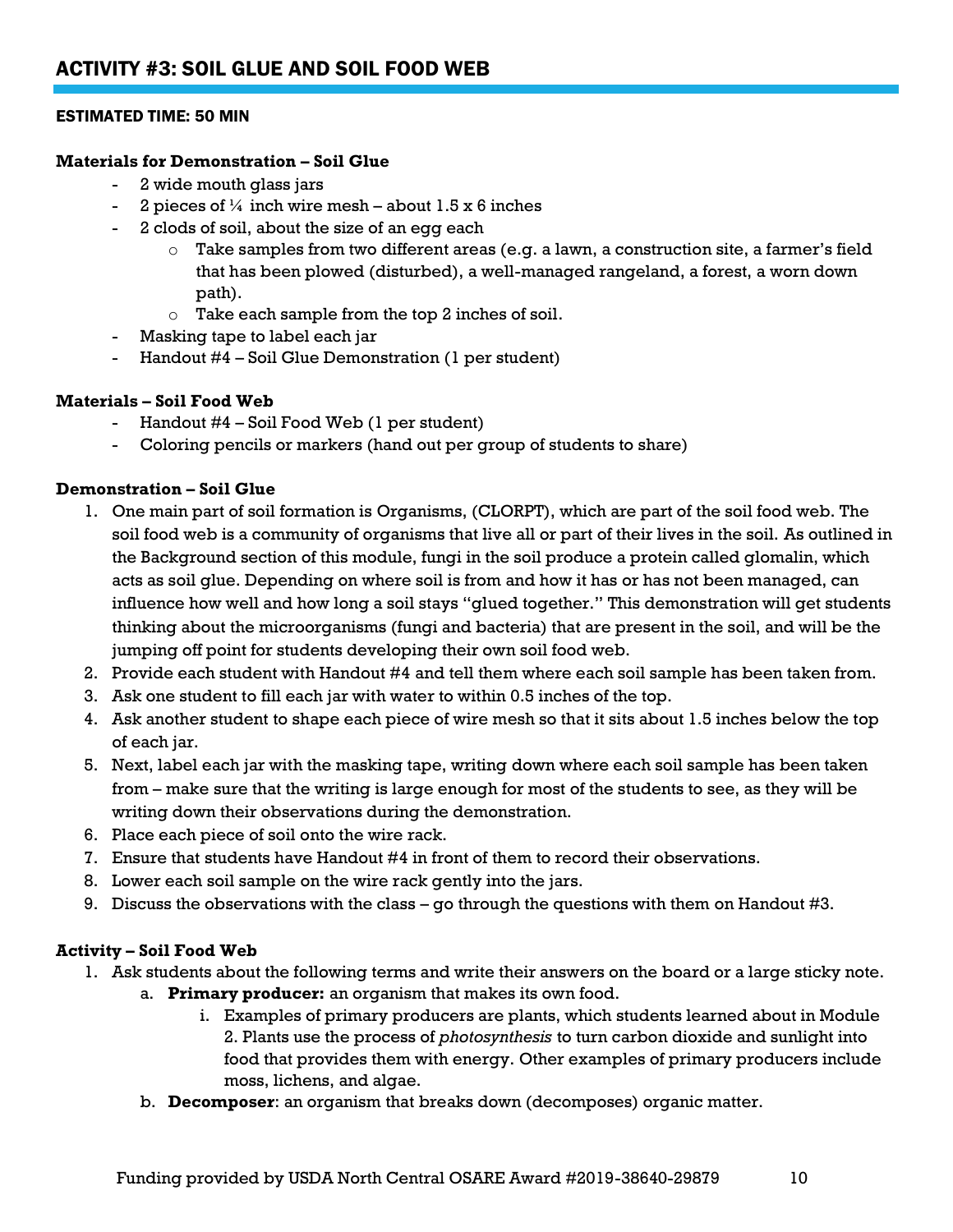#### ESTIMATED TIME: 50 MIN

#### **Materials for Demonstration – Soil Glue**

- 2 wide mouth glass jars
- 2 pieces of  $\frac{1}{4}$  inch wire mesh about 1.5 x 6 inches
- 2 clods of soil, about the size of an egg each
	- Take samples from two different areas (e.g. a lawn, a construction site, a farmer's field that has been plowed (disturbed), a well-managed rangeland, a forest, a worn down path).
	- o Take each sample from the top 2 inches of soil.
- Masking tape to label each jar
- Handout #4 Soil Glue Demonstration (1 per student)

#### **Materials – Soil Food Web**

- Handout #4 Soil Food Web (1 per student)
- Coloring pencils or markers (hand out per group of students to share)

#### **Demonstration – Soil Glue**

- 1. One main part of soil formation is Organisms, (CLORPT), which are part of the soil food web. The soil food web is a community of organisms that live all or part of their lives in the soil. As outlined in the Background section of this module, fungi in the soil produce a protein called glomalin, which acts as soil glue. Depending on where soil is from and how it has or has not been managed, can influence how well and how long a soil stays "glued together." This demonstration will get students thinking about the microorganisms (fungi and bacteria) that are present in the soil, and will be the jumping off point for students developing their own soil food web.
- 2. Provide each student with Handout #4 and tell them where each soil sample has been taken from.
- 3. Ask one student to fill each jar with water to within 0.5 inches of the top.
- 4. Ask another student to shape each piece of wire mesh so that it sits about 1.5 inches below the top of each jar.
- 5. Next, label each jar with the masking tape, writing down where each soil sample has been taken from – make sure that the writing is large enough for most of the students to see, as they will be writing down their observations during the demonstration.
- 6. Place each piece of soil onto the wire rack.
- 7. Ensure that students have Handout #4 in front of them to record their observations.
- 8. Lower each soil sample on the wire rack gently into the jars.
- 9. Discuss the observations with the class go through the questions with them on Handout #3.

#### **Activity – Soil Food Web**

- 1. Ask students about the following terms and write their answers on the board or a large sticky note.
	- a. **Primary producer:** an organism that makes its own food.
		- i. Examples of primary producers are plants, which students learned about in Module 2. Plants use the process of *photosynthesis* to turn carbon dioxide and sunlight into food that provides them with energy. Other examples of primary producers include moss, lichens, and algae.
	- b. **Decomposer**: an organism that breaks down (decomposes) organic matter.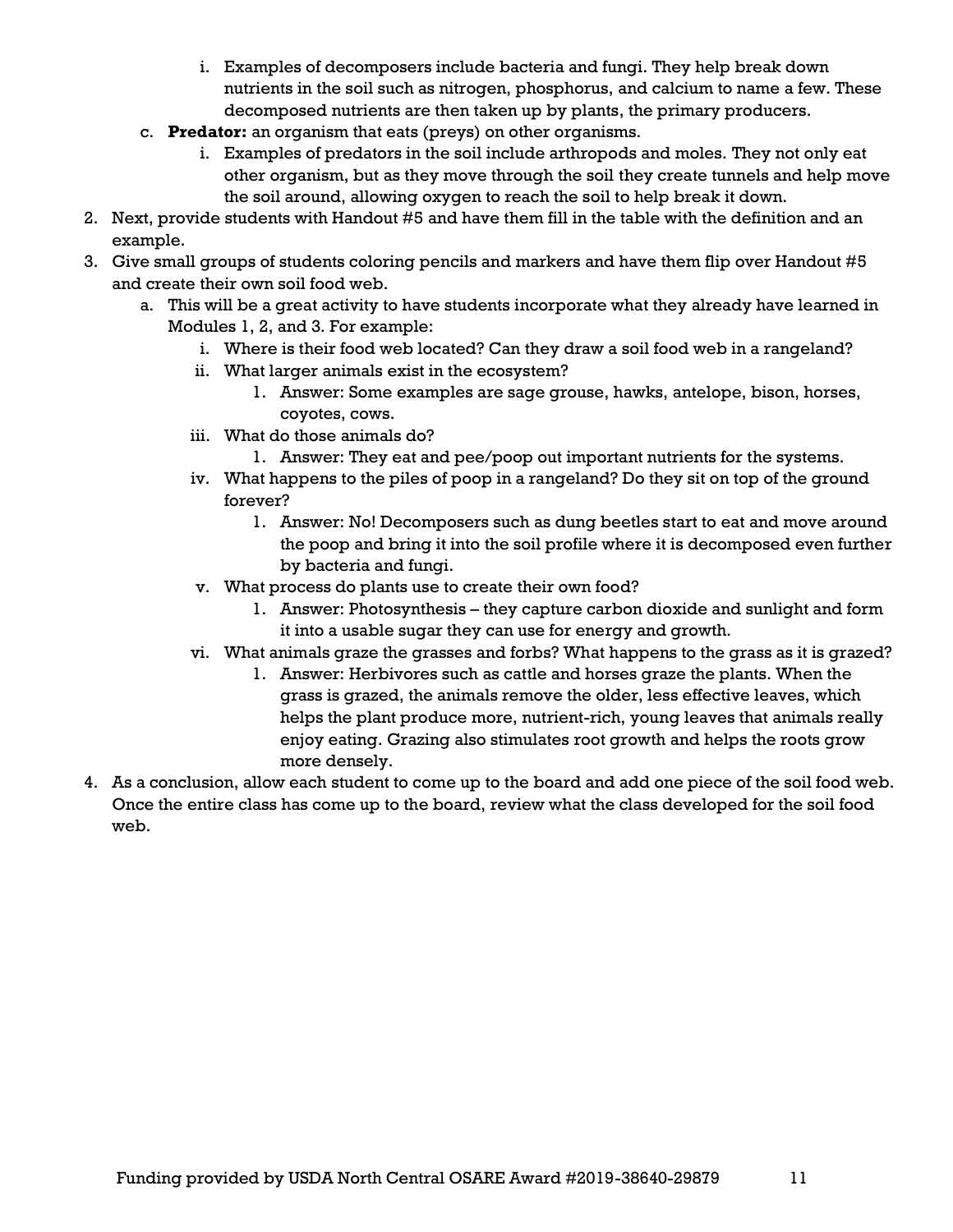- i. Examples of decomposers include bacteria and fungi. They help break down nutrients in the soil such as nitrogen, phosphorus, and calcium to name a few. These decomposed nutrients are then taken up by plants, the primary producers.
- c. **Predator:** an organism that eats (preys) on other organisms.
	- i. Examples of predators in the soil include arthropods and moles. They not only eat other organism, but as they move through the soil they create tunnels and help move the soil around, allowing oxygen to reach the soil to help break it down.
- 2. Next, provide students with Handout #5 and have them fill in the table with the definition and an example.
- 3. Give small groups of students coloring pencils and markers and have them flip over Handout #5 and create their own soil food web.
	- a. This will be a great activity to have students incorporate what they already have learned in Modules 1, 2, and 3. For example:
		- i. Where is their food web located? Can they draw a soil food web in a rangeland?
		- ii. What larger animals exist in the ecosystem?
			- 1. Answer: Some examples are sage grouse, hawks, antelope, bison, horses, coyotes, cows.
		- iii. What do those animals do?
			- 1. Answer: They eat and pee/poop out important nutrients for the systems.
		- iv. What happens to the piles of poop in a rangeland? Do they sit on top of the ground forever?
			- 1. Answer: No! Decomposers such as dung beetles start to eat and move around the poop and bring it into the soil profile where it is decomposed even further by bacteria and fungi.
		- v. What process do plants use to create their own food?
			- 1. Answer: Photosynthesis they capture carbon dioxide and sunlight and form it into a usable sugar they can use for energy and growth.
		- vi. What animals graze the grasses and forbs? What happens to the grass as it is grazed?
			- 1. Answer: Herbivores such as cattle and horses graze the plants. When the grass is grazed, the animals remove the older, less effective leaves, which helps the plant produce more, nutrient-rich, young leaves that animals really enjoy eating. Grazing also stimulates root growth and helps the roots grow more densely.
- 4. As a conclusion, allow each student to come up to the board and add one piece of the soil food web. Once the entire class has come up to the board, review what the class developed for the soil food web.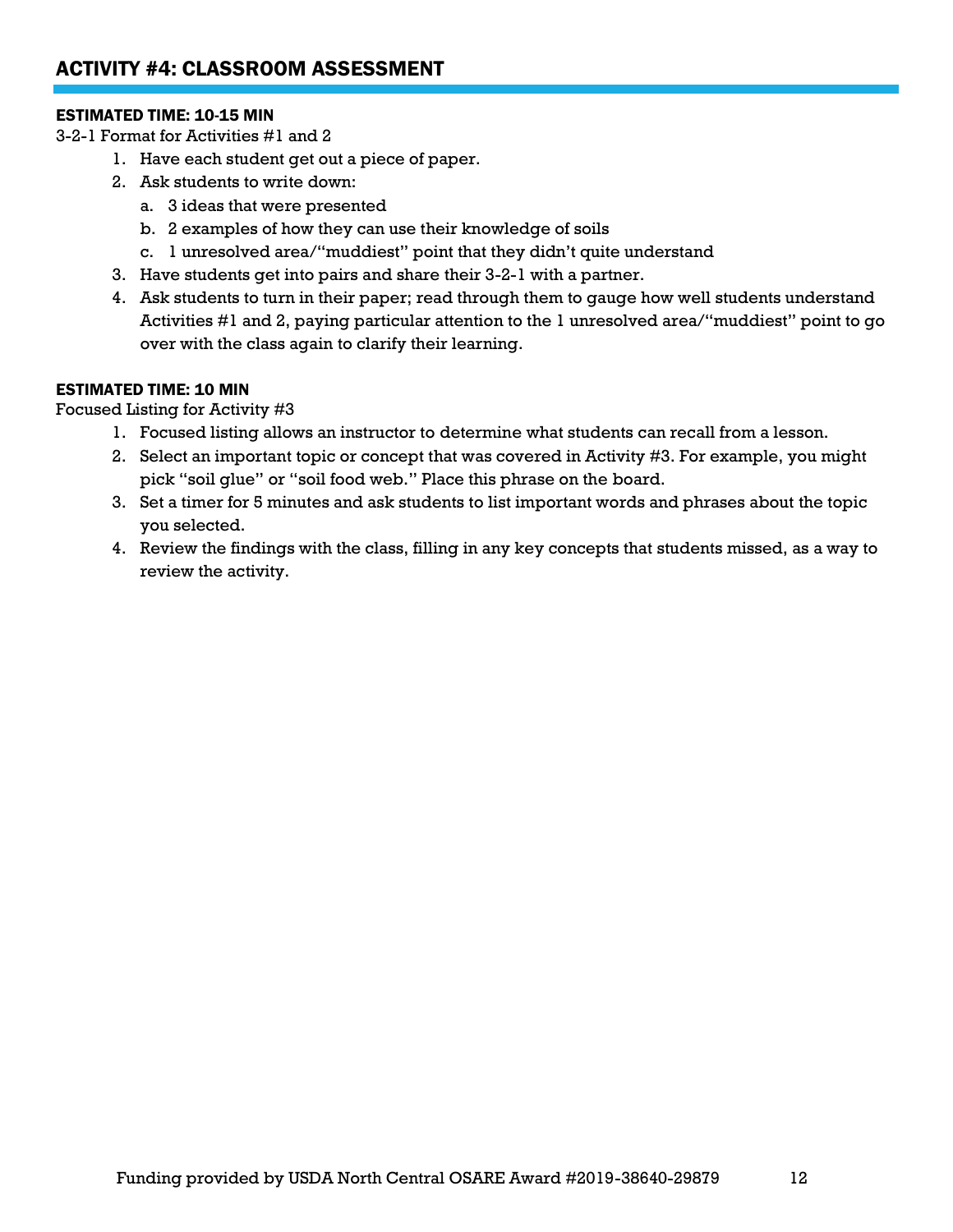#### ESTIMATED TIME: 10-15 MIN

3-2-1 Format for Activities #1 and 2

- 1. Have each student get out a piece of paper.
- 2. Ask students to write down:
	- a. 3 ideas that were presented
	- b. 2 examples of how they can use their knowledge of soils
	- c. 1 unresolved area/"muddiest" point that they didn't quite understand
- 3. Have students get into pairs and share their 3-2-1 with a partner.
- 4. Ask students to turn in their paper; read through them to gauge how well students understand Activities #1 and 2, paying particular attention to the 1 unresolved area/"muddiest" point to go over with the class again to clarify their learning.

#### ESTIMATED TIME: 10 MIN

Focused Listing for Activity #3

- 1. Focused listing allows an instructor to determine what students can recall from a lesson.
- 2. Select an important topic or concept that was covered in Activity #3. For example, you might pick "soil glue" or "soil food web." Place this phrase on the board.
- 3. Set a timer for 5 minutes and ask students to list important words and phrases about the topic you selected.
- 4. Review the findings with the class, filling in any key concepts that students missed, as a way to review the activity.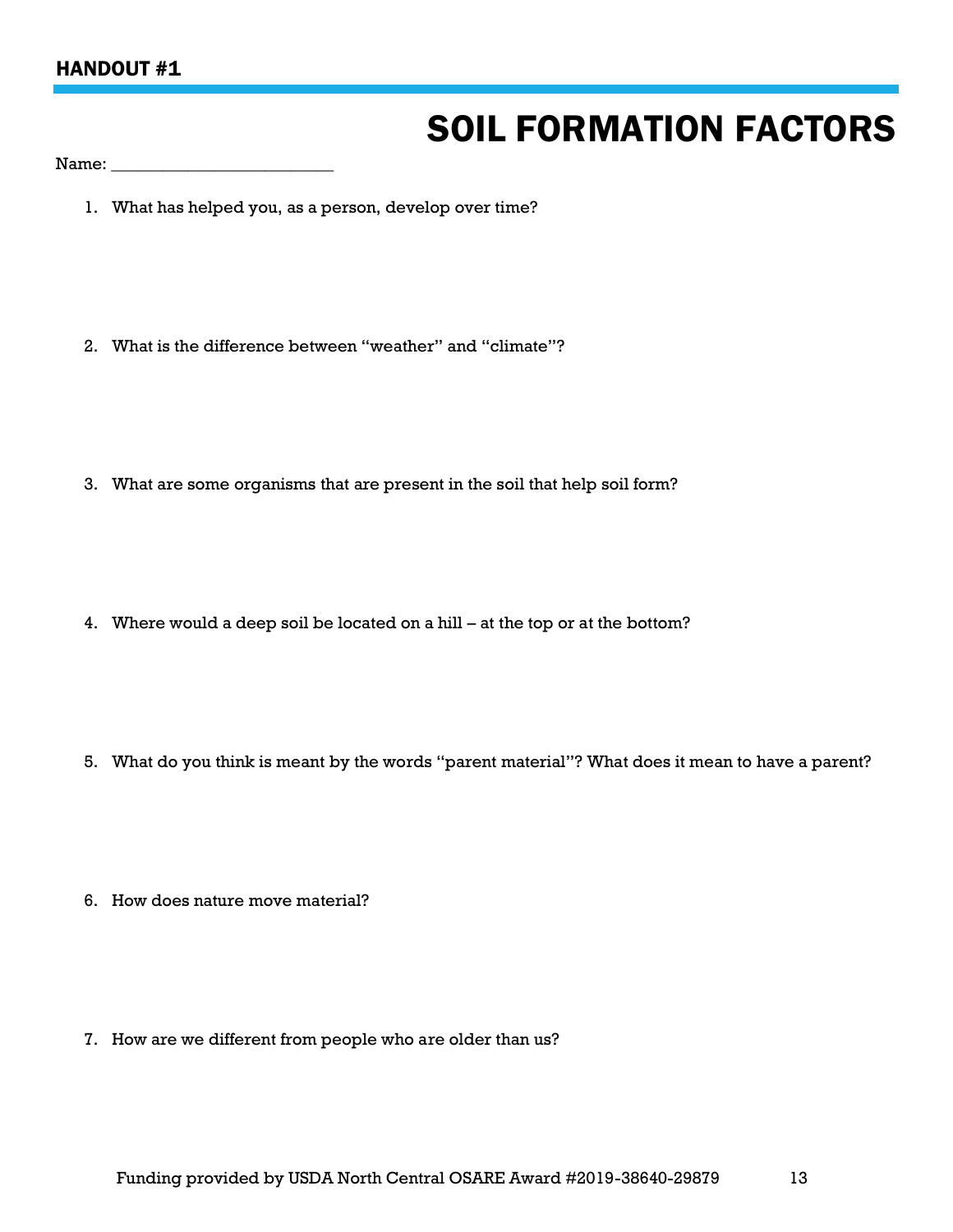# SOIL FORMATION FACTORS

Name:

- 1. What has helped you, as a person, develop over time?
- 2. What is the difference between "weather" and "climate"?
- 3. What are some organisms that are present in the soil that help soil form?
- 4. Where would a deep soil be located on a hill at the top or at the bottom?
- 5. What do you think is meant by the words "parent material"? What does it mean to have a parent?
- 6. How does nature move material?
- 7. How are we different from people who are older than us?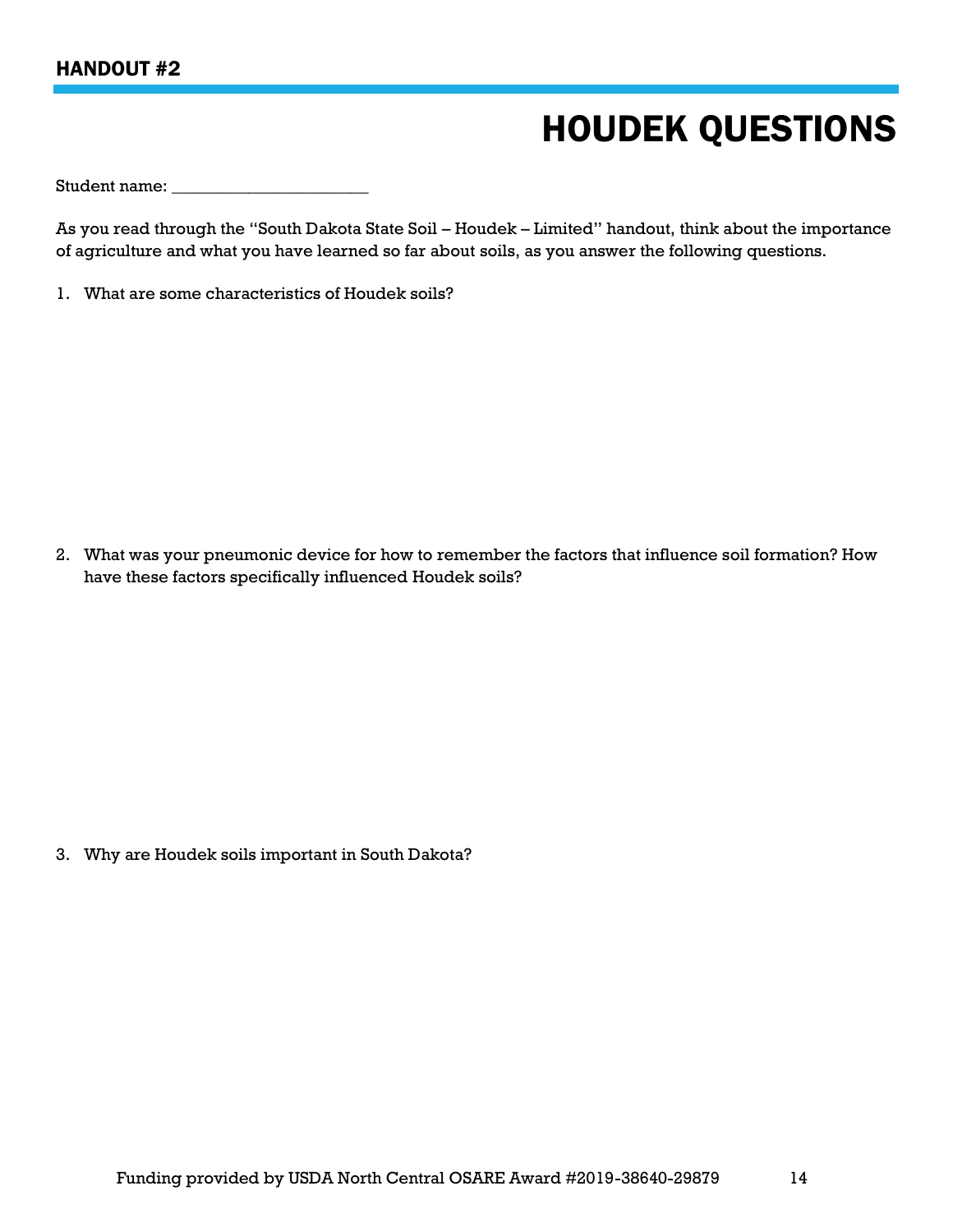# HOUDEK QUESTIONS

Student name:

As you read through the "South Dakota State Soil – Houdek – Limited" handout, think about the importance of agriculture and what you have learned so far about soils, as you answer the following questions.

1. What are some characteristics of Houdek soils?

2. What was your pneumonic device for how to remember the factors that influence soil formation? How have these factors specifically influenced Houdek soils?

3. Why are Houdek soils important in South Dakota?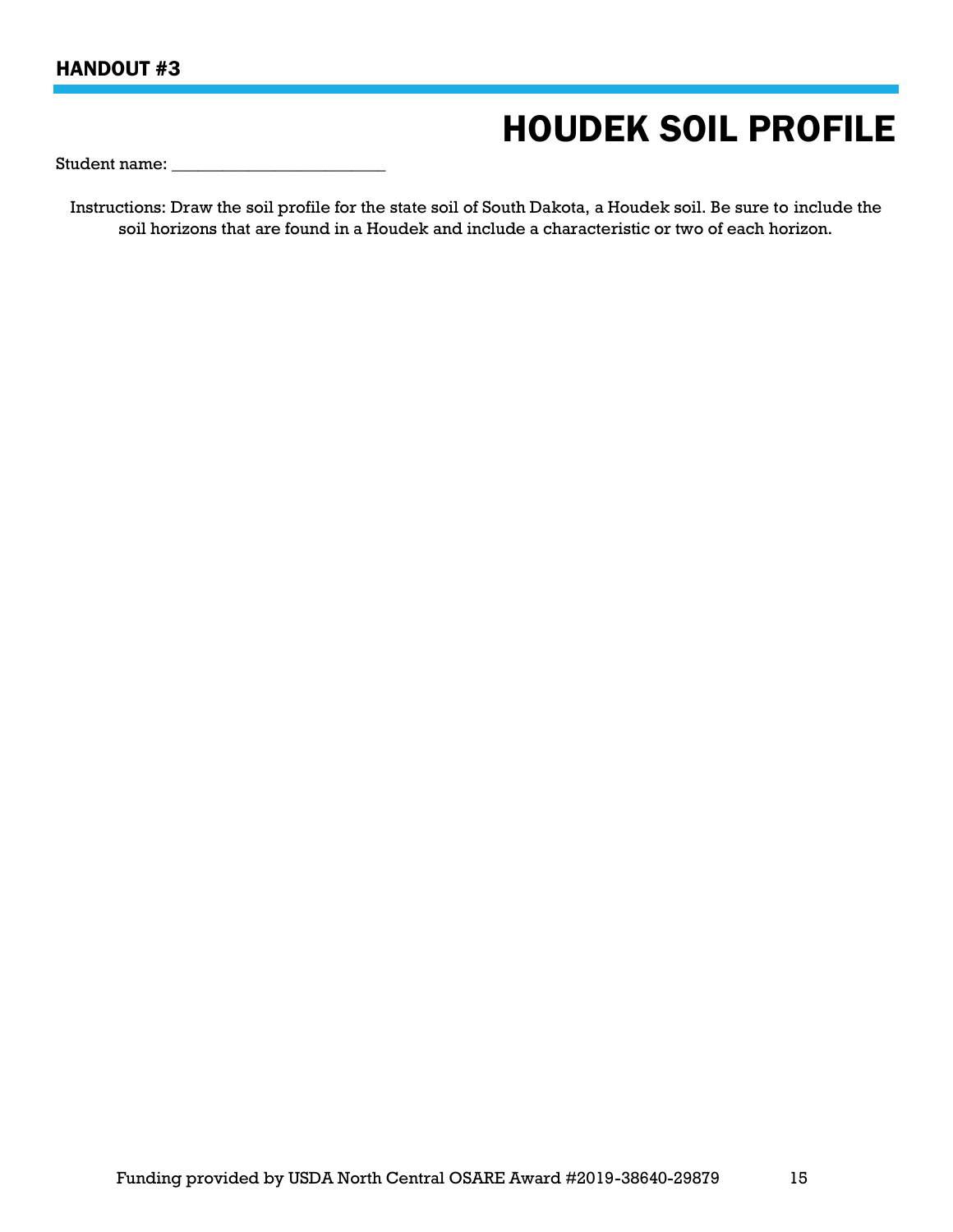### HANDOUT #3

## HOUDEK SOIL PROFILE

Student name:

Instructions: Draw the soil profile for the state soil of South Dakota, a Houdek soil. Be sure to include the soil horizons that are found in a Houdek and include a characteristic or two of each horizon.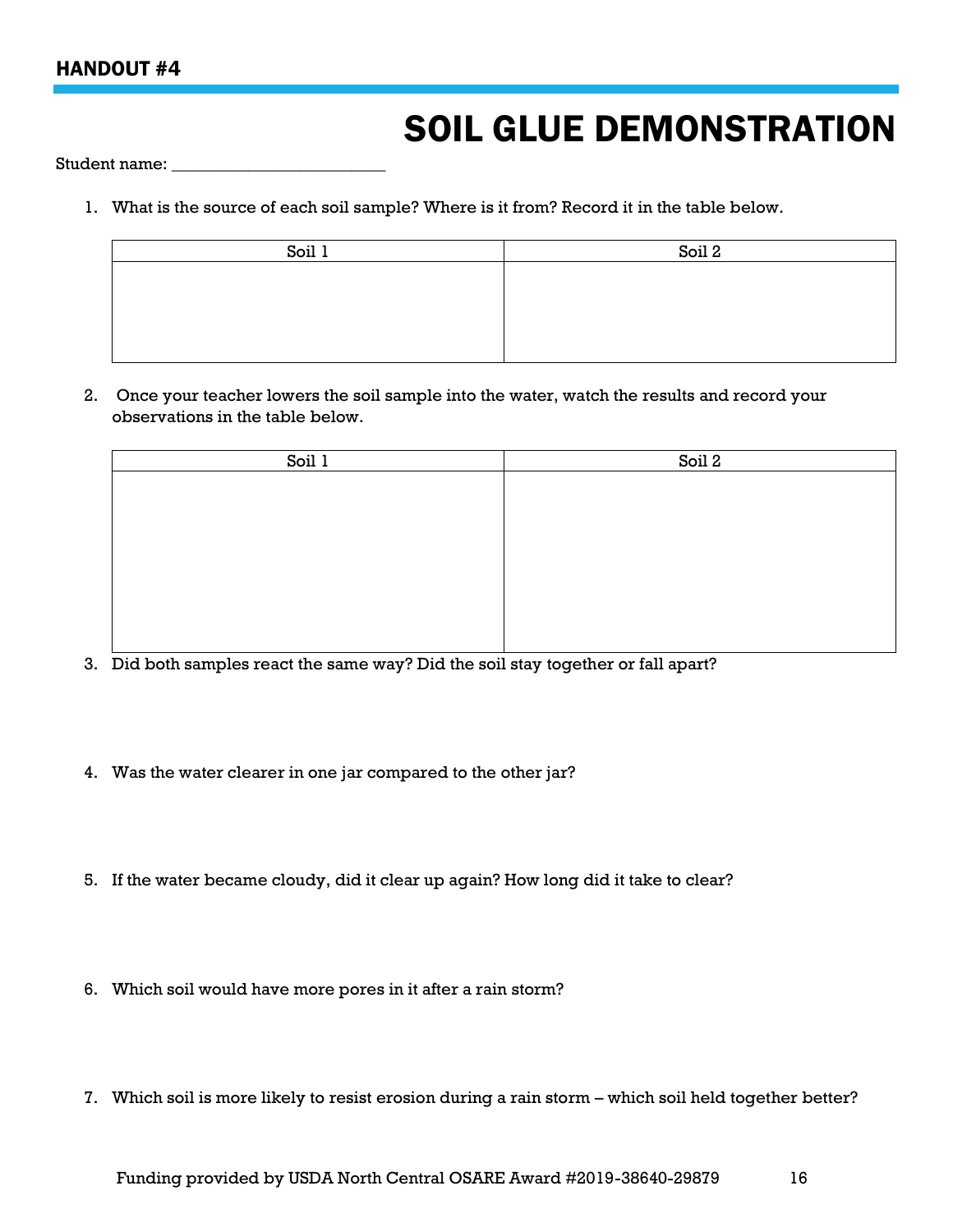## SOIL GLUE DEMONSTRATION

Student name:

1. What is the source of each soil sample? Where is it from? Record it in the table below.

| Soil 2 |
|--------|
|        |
|        |
|        |
|        |
|        |

2. Once your teacher lowers the soil sample into the water, watch the results and record your observations in the table below.

| Soil 1 | Soil 2 |
|--------|--------|
|        |        |
|        |        |
|        |        |
|        |        |
|        |        |
|        |        |
|        |        |
|        |        |

- 3. Did both samples react the same way? Did the soil stay together or fall apart?
- 4. Was the water clearer in one jar compared to the other jar?
- 5. If the water became cloudy, did it clear up again? How long did it take to clear?
- 6. Which soil would have more pores in it after a rain storm?
- 7. Which soil is more likely to resist erosion during a rain storm which soil held together better?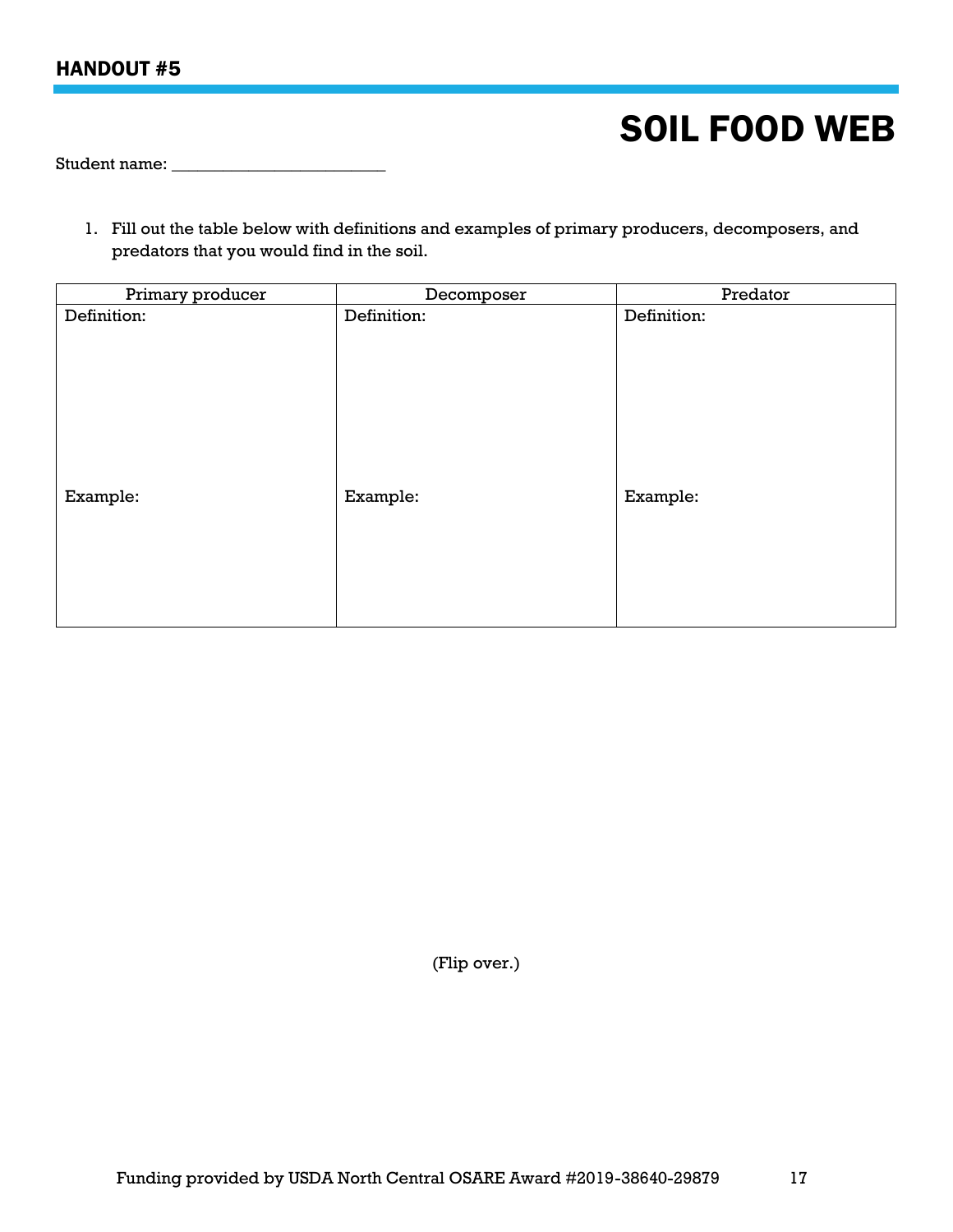## HANDOUT #5

## SOIL FOOD WEB

Student name:

1. Fill out the table below with definitions and examples of primary producers, decomposers, and predators that you would find in the soil.

| Primary producer | Decomposer  | Predator    |
|------------------|-------------|-------------|
| Definition:      | Definition: | Definition: |
|                  |             |             |
|                  |             |             |
|                  |             |             |
|                  |             |             |
|                  |             |             |
|                  |             |             |
|                  |             |             |
| Example:         | Example:    | Example:    |
|                  |             |             |
|                  |             |             |
|                  |             |             |
|                  |             |             |
|                  |             |             |
|                  |             |             |

(Flip over.)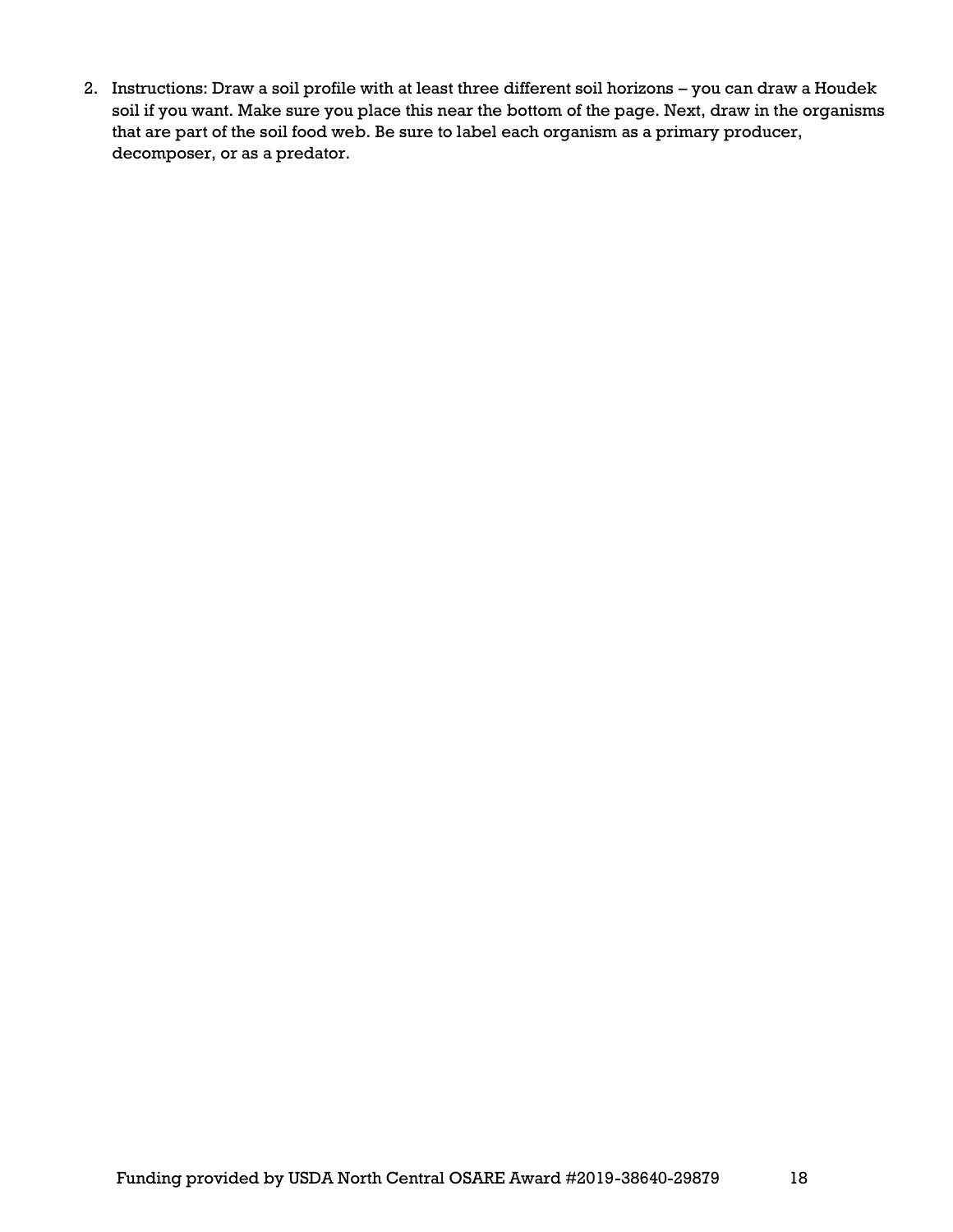2. Instructions: Draw a soil profile with at least three different soil horizons – you can draw a Houdek soil if you want. Make sure you place this near the bottom of the page. Next, draw in the organisms that are part of the soil food web. Be sure to label each organism as a primary producer, decomposer, or as a predator.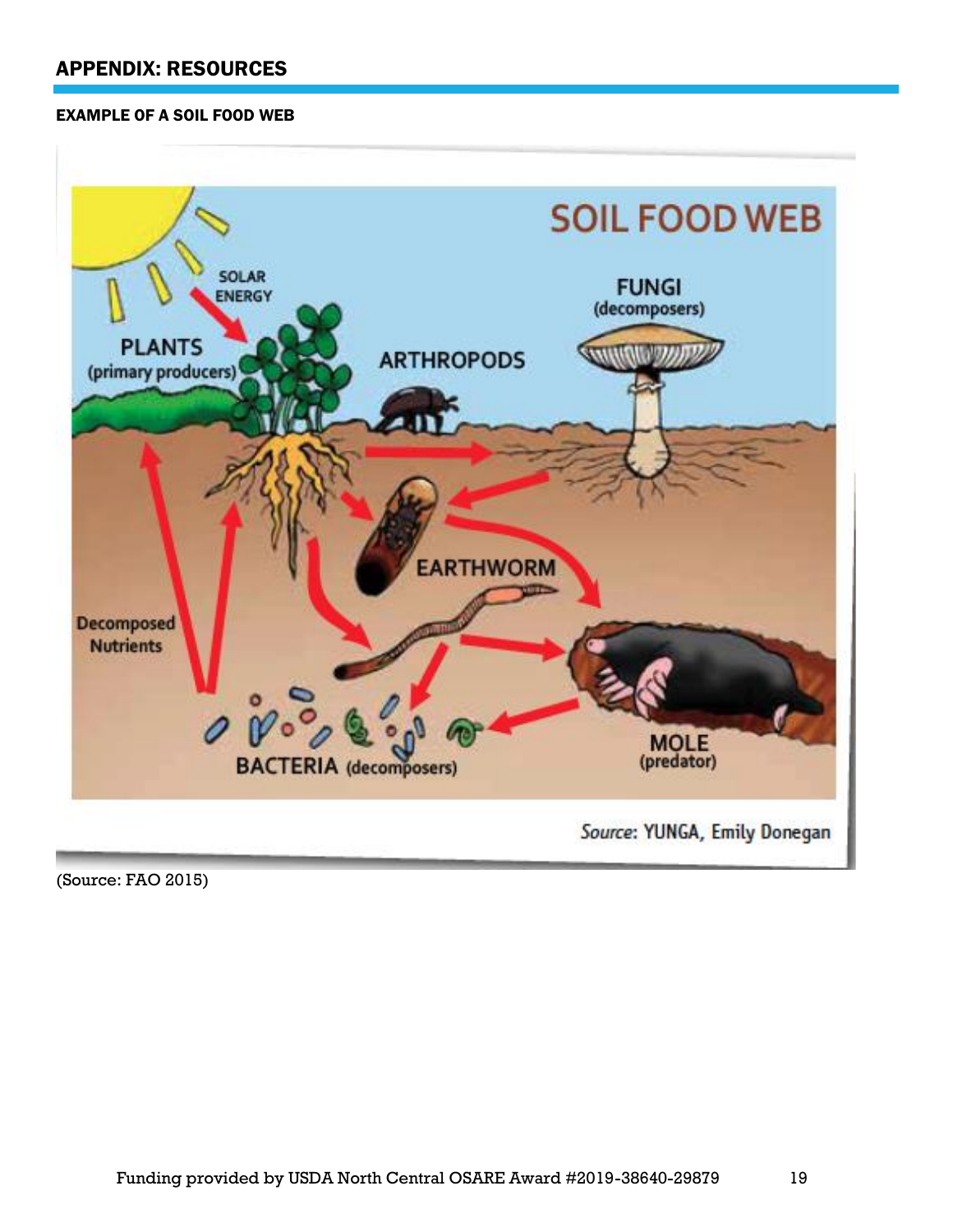### APPENDIX: RESOURCES

#### EXAMPLE OF A SOIL FOOD WEB



(Source: FAO 2015)